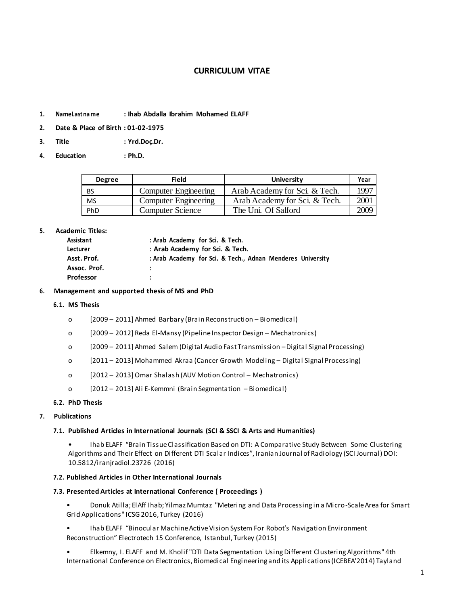# **CURRICULUM VITAE**

- **1. NameLastna me : Ihab Abdalla Ibrahim Mohamed ELAFF**
- **2. Date & Place of Birth : 01-02-1975**
- **3. Title : Yrd.Doç.Dr.**
- **4. Education : Ph.D.**

| <b>Degree</b> | Field                       | <b>University</b>             | Year |
|---------------|-----------------------------|-------------------------------|------|
| - BS          | <b>Computer Engineering</b> | Arab Academy for Sci. & Tech. | 1997 |
| <b>MS</b>     | <b>Computer Engineering</b> | Arab Academy for Sci. & Tech. | 2001 |
| PhD           | Computer Science            | The Uni. Of Salford           | 2009 |

### **5. Academic Titles:**

| Assistant        | : Arab Academy for Sci. & Tech.                            |
|------------------|------------------------------------------------------------|
| Lecturer         | : Arab Academy for Sci. & Tech.                            |
| Asst. Prof.      | : Arab Academy for Sci. & Tech., Adnan Menderes University |
| Assoc. Prof.     | $\ddot{\phantom{0}}$                                       |
| <b>Professor</b> | $\ddot{\phantom{a}}$                                       |

#### **6. Management and supported thesis of MS and PhD**

#### **6.1. MS Thesis**

- o [2009 2011] Ahmed Barbary (Brain Reconstruction Biomedical)
- o [2009 2012] Reda El-Mansy (Pipeline Inspector Design Mechatronics)
- o [2009 2011] Ahmed Salem (Digital Audio Fast Transmission –Digital Signal Processing)
- o [2011 2013] Mohammed Akraa (Cancer Growth Modeling Digital Signal Processing)
- o [2012 2013] Omar Shalash (AUV Motion Control Mechatronics)
- o [2012 2013] Ali E-Kemmni (Brain Segmentation Biomedical)

#### **6.2. PhD Thesis**

### **7. Publications**

#### **7.1. Published Articles in International Journals (SCI & SSCI & Arts and Humanities)**

• Ihab ELAFF "Brain Tissue Classification Based on DTI: A Comparative Study Between Some Clustering Algorithms and Their Effect on Different DTI Scalar Indices", Iranian Journal of Radiology (SCI Journal) DOI: 10.5812/iranjradiol.23726 (2016)

#### **7.2. Published Articles in Other International Journals**

# **7.3. Presented Articles at International Conference ( Proceedings )**

• Donuk Atilla; ElAff Ihab; Yilmaz Mumtaz "Metering and Data Processing in a Micro-Scale Area for Smart Grid Applications" ICSG 2016, Turkey (2016)

• Ihab ELAFF "Binocular Machine Active Vision System For Robot's Navigation Environment Reconstruction" Electrotech 15 Conference, Istanbul, Turkey (2015)

• Elkemny, I. ELAFF and M. Kholif "DTI Data Segmentation Using Different Clustering Algorithms" 4th International Conference on Electronics, Biomedical Engi neering and its Applications (ICEBEA'2014) Tayland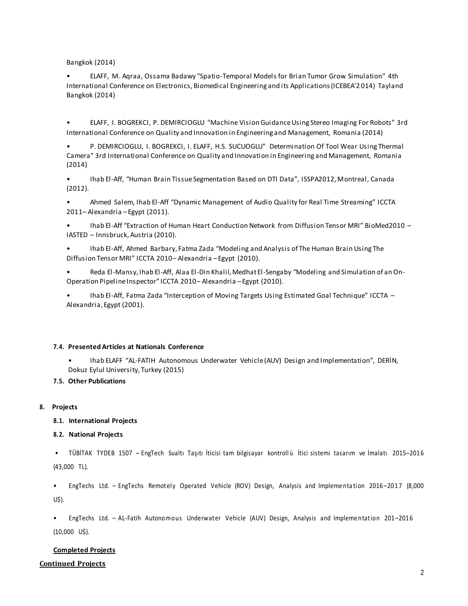Bangkok (2014)

• ELAFF, M. Aqraa, Ossama Badawy "Spatio-Temporal Models for Brian Tumor Grow Simulation" 4th International Conference on Electronics, Biomedical Engineering and its Applications (ICEBEA'2 014) Tayland Bangkok (2014)

• ELAFF, I. BOGREKCI, P. DEMIRCIOGLU "Machine Vision Guidance Using Stereo Imaging For Robots" 3rd International Conference on Quality and Innovation in Engineering and Management, Romania (2014)

• P. DEMIRCIOGLU, I. BOGREKCI, I. ELAFF, H.S. SUCUOGLU" Determination Of Tool Wear Using Thermal Camera" 3rd International Conference on Quality and Innovation in Engineering and Management, Romania (2014)

• Ihab El-Aff, "Human Brain Tissue Segmentation Based on DTI Data", ISSPA2012, Montreal, Canada (2012).

• Ahmed Salem, Ihab El-Aff "Dynamic Management of Audio Quality for Real Time Streaming" ICCTA 2011– Alexandria –Egypt (2011).

• Ihab El-Aff "Extraction of Human Heart Conduction Network from Diffusion Tensor MRI" BioMed2010 – IASTED – Innsbruck, Austria (2010).

• Ihab El-Aff, Ahmed Barbary, Fatma Zada "Modeling and Analysis of The Human Brain Using The Diffusion Tensor MRI" ICCTA 2010– Alexandria –Egypt (2010).

• Reda El-Mansy, Ihab El-Aff, Alaa El-Din Khalil, Medhat El-Sengaby "Modeling and Simulation of an On-Operation Pipeline Inspector" ICCTA 2010– Alexandria –Egypt (2010).

• Ihab El-Aff, Fatma Zada "Interception of Moving Targets Using Estimated Goal Technique" ICCTA – Alexandria, Egypt (2001).

#### **7.4. Presented Articles at Nationals Conference**

• Ihab ELAFF "AL-FATIH Autonomous Underwater Vehicle (AUV) Design and Implementation", DERİN, Dokuz Eylul University, Turkey (2015)

#### **7.5. Other Publications**

#### **8. Projects**

# **8.1. International Projects**

# **8.2. National Projects**

• TÜBİTAK TYDEB 1507 – EngTech Sualtı Taşıtı İticisi tam bilgisayar kontroll ü İtici sistemi tasarım ve İmalatı 2015–201 6

(43,000 TL).

EngTechs Ltd. - EngTechs Remotely Operated Vehicle (ROV) Design, Analysis and Implementation 2016-2017 (8,000 U\$).

EngTechs Ltd. - AL-Fatih Autonomous Underwater Vehicle (AUV) Design, Analysis and Implementation 201-2016 (10,000 U\$).

# **Completed Projects**

# **Continued Projects**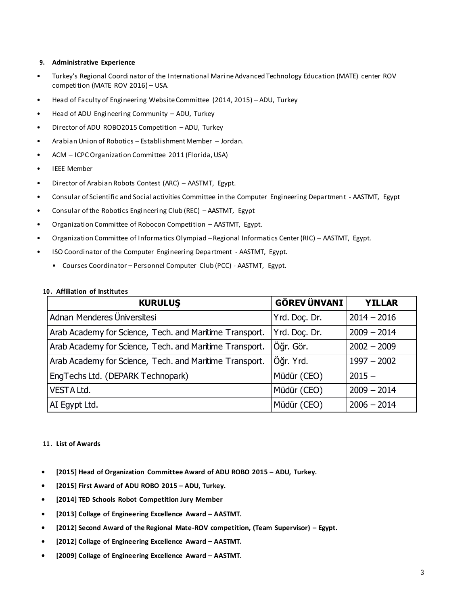### **9. Administrative Experience**

- Turkey's Regional Coordinator of the International Marine Advanced Technology Education (MATE) center ROV competition (MATE ROV 2016) – USA.
- Head of Faculty of Engineering Website Committee (2014, 2015) ADU, Turkey
- Head of ADU Engineering Community ADU, Turkey
- Director of ADU ROBO2015 Competition ADU, Turkey
- Arabian Union of Robotics Establishment Member Jordan.
- ACM ICPC Organization Committee 2011 (Florida, USA)
- IEEE Member
- Director of Arabian Robots Contest (ARC) AASTMT, Egypt.
- Consular of Scientific and Social activities Committee in the Computer Engineering Department AASTMT, Egypt
- Consular of the Robotics Engineering Club (REC) AASTMT, Egypt
- Organization Committee of Robocon Competition AASTMT, Egypt.
- Organization Committee of Informatics Olympiad Regional Informatics Center (RIC) AASTMT, Egypt.
- ISO Coordinator of the Computer Engineering Department AASTMT, Egypt.
	- Courses Coordinator Personnel Computer Club (PCC) AASTMT, Egypt.

|  | 10. Affiliation of Institutes |  |  |
|--|-------------------------------|--|--|
|--|-------------------------------|--|--|

| <b>KURULUS</b>                                          | <b>GÖREV ÜNVANI</b> | <b>YILLAR</b> |
|---------------------------------------------------------|---------------------|---------------|
| Adnan Menderes Üniversitesi                             | Yrd. Doc. Dr.       | $2014 - 2016$ |
| Arab Academy for Science, Tech. and Maritime Transport. | Yrd. Doc. Dr.       | $2009 - 2014$ |
| Arab Academy for Science, Tech. and Maritime Transport. | Öğr. Gör.           | $2002 - 2009$ |
| Arab Academy for Science, Tech. and Maritime Transport. | Öğr. Yrd.           | $1997 - 2002$ |
| EngTechs Ltd. (DEPARK Technopark)                       | Müdür (CEO)         | $2015 -$      |
| <b>VESTALtd.</b>                                        | Müdür (CEO)         | $2009 - 2014$ |
| AI Egypt Ltd.                                           | Müdür (CEO)         | $2006 - 2014$ |

#### **11 . List of Awards**

- **• [2015] Head of Organization Committee Award of ADU ROBO 2015 – ADU, Turkey.**
- **• [2015] First Award of ADU ROBO 2015 – ADU, Turkey.**
- **• [2014] TED Schools Robot Competition Jury Member**
- **• [2013] Collage of Engineering Excellence Award – AASTMT.**
- **• [2012] Second Award of the Regional Mate-ROV competition, (Team Supervisor) – Egypt.**
- **• [2012] Collage of Engineering Excellence Award – AASTMT.**
- **• [2009] Collage of Engineering Excellence Award – AASTMT.**